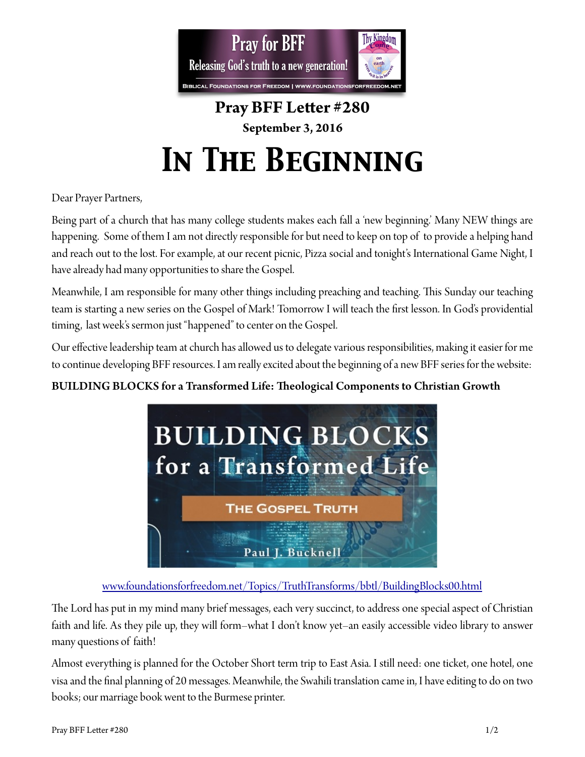

# **Pray BFF Leter #280 September 3, 2016**  *In The Beginning*

Dear Prayer Partners,

Being part of a church that has many college students makes each fall a 'new beginning.' Many NEW things are happening. Some of them I am not directly responsible for but need to keep on top of to provide a helping hand and reach out to the lost. For example, at our recent picnic, Pizza social and tonight's International Game Night, I have already had many opportunities to share the Gospel.

Meanwhile, I am responsible for many other things including preaching and teaching. Tis Sunday our teaching team is starting a new series on the Gospel of Mark! Tomorrow I will teach the frst lesson. In God's providential timing, last week's sermon just "happened" to center on the Gospel.

Our effective leadership team at church has allowed us to delegate various responsibilities, making it easier for me to continue developing BFF resources. I am really excited about the beginning of a new BFF series for the website:

## BUILDING BLOCKS for a Transformed Life: Theological Components to Christian Growth



#### [www.foundationsforfreedom.net/Topics/TruthTransforms/bbtl/BuildingBlocks00.html](http://www.foundationsforfreedom.net/Topics/TruthTransforms/bbtl/BuildingBlocks00.html)

The Lord has put in my mind many brief messages, each very succinct, to address one special aspect of Christian faith and life. As they pile up, they will form–what I don't know yet–an easily accessible video library to answer many questions of faith!

Almost everything is planned for the October Short term trip to East Asia. I still need: one ticket, one hotel, one visa and the fnal planning of 20 messages. Meanwhile, the Swahili translation came in, I have editing to do on two books; our marriage book went to the Burmese printer.